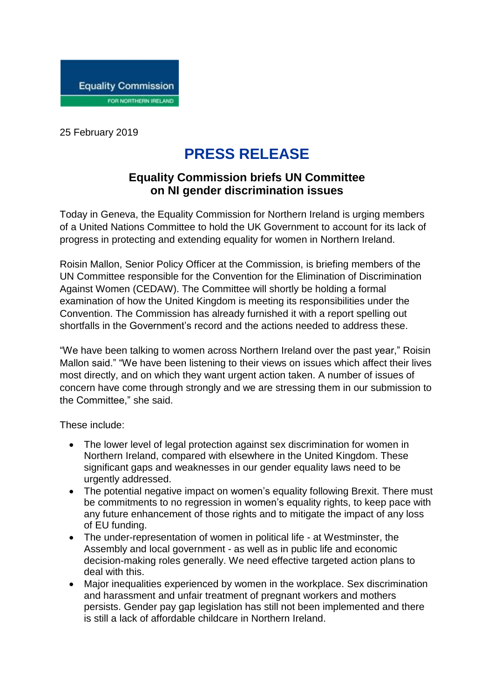

25 February 2019

## **PRESS RELEASE**

## **Equality Commission briefs UN Committee on NI gender discrimination issues**

Today in Geneva, the Equality Commission for Northern Ireland is urging members of a United Nations Committee to hold the UK Government to account for its lack of progress in protecting and extending equality for women in Northern Ireland.

Roisin Mallon, Senior Policy Officer at the Commission, is briefing members of the UN Committee responsible for the Convention for the Elimination of Discrimination Against Women (CEDAW). The Committee will shortly be holding a formal examination of how the United Kingdom is meeting its responsibilities under the Convention. The Commission has already furnished it with a report spelling out shortfalls in the Government's record and the actions needed to address these.

"We have been talking to women across Northern Ireland over the past year," Roisin Mallon said." "We have been listening to their views on issues which affect their lives most directly, and on which they want urgent action taken. A number of issues of concern have come through strongly and we are stressing them in our submission to the Committee," she said.

These include:

- The lower level of legal protection against sex discrimination for women in Northern Ireland, compared with elsewhere in the United Kingdom. These significant gaps and weaknesses in our gender equality laws need to be urgently addressed.
- The potential negative impact on women's equality following Brexit. There must be commitments to no regression in women's equality rights, to keep pace with any future enhancement of those rights and to mitigate the impact of any loss of EU funding.
- The under-representation of women in political life at Westminster, the Assembly and local government - as well as in public life and economic decision-making roles generally. We need effective targeted action plans to deal with this.
- Major inequalities experienced by women in the workplace. Sex discrimination and harassment and unfair treatment of pregnant workers and mothers persists. Gender pay gap legislation has still not been implemented and there is still a lack of affordable childcare in Northern Ireland.